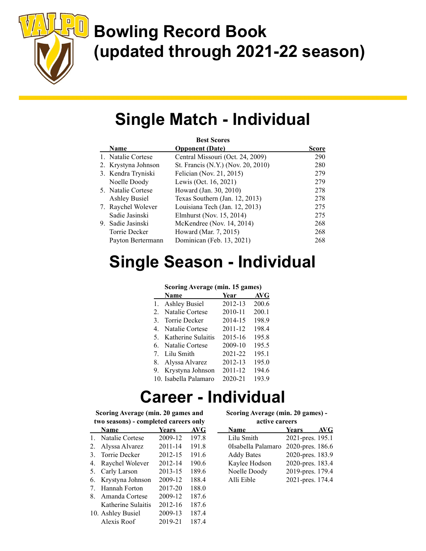

# Bowling Record Book (updated through 2021-22 season)

## Single Match - Individual

| <b>Best Scores</b>   |                                    |              |  |
|----------------------|------------------------------------|--------------|--|
| <b>Name</b>          | <b>Opponent</b> (Date)             | <b>Score</b> |  |
| 1. Natalie Cortese   | Central Missouri (Oct. 24, 2009)   | 290          |  |
| 2. Krystyna Johnson  | St. Francis (N.Y.) (Nov. 20, 2010) | 280          |  |
| 3. Kendra Tryniski   | Felician (Nov. 21, 2015)           | 279          |  |
| Noelle Doody         | Lewis (Oct. 16, 2021)              | 279          |  |
| 5. Natalie Cortese   | Howard (Jan. 30, 2010)             | 278          |  |
| <b>Ashley Busiel</b> | Texas Southern (Jan. 12, 2013)     | 278          |  |
| 7. Raychel Wolever   | Louisiana Tech (Jan. 12, 2013)     | 275          |  |
| Sadie Jasinski       | Elmhurst (Nov. 15, 2014)           | 275          |  |
| 9. Sadie Jasinski    | McKendree (Nov. 14, 2014)          | 268          |  |
| Torrie Decker        | Howard (Mar. 7, 2015)              | 268          |  |
| Payton Bertermann    | Dominican (Feb. 13, 2021)          | 268          |  |

# Single Season - Individual

#### Scoring Average (min. 15 games)

|    | Name                  | Year    | AVG   |
|----|-----------------------|---------|-------|
|    | 1. Ashley Busiel      | 2012-13 | 200.6 |
| 2. | Natalie Cortese       | 2010-11 | 200.1 |
| 3. | Torrie Decker         | 2014-15 | 198.9 |
| 4. | Natalie Cortese       | 2011-12 | 198.4 |
| 5. | Katherine Sulaitis    | 2015-16 | 195.8 |
|    | 6. Natalie Cortese    | 2009-10 | 195.5 |
|    | 7. Lilu Smith         | 2021-22 | 195.1 |
|    | 8. Alyssa Alvarez     | 2012-13 | 195.0 |
|    | 9. Krystyna Johnson   | 2011-12 | 194.6 |
|    | 10. Isabella Palamaro | 2020-21 | 193.9 |

### Career - Individual

Scoring Average (min. 20 games and two seasons) - completed careers only

|           | <b>Name</b>        | <b>Years</b> | AVG   |
|-----------|--------------------|--------------|-------|
| $1 \quad$ | Natalie Cortese    | 2009-12      | 197.8 |
| 2.        | Alyssa Alvarez     | 2011-14      | 191.8 |
| 3.        | Torrie Decker      | 2012-15      | 191.6 |
| 4.        | Raychel Wolever    | 2012-14      | 190.6 |
| 5.        | Carly Larson       | 2013-15      | 189.6 |
| 6.        | Krystyna Johnson   | 2009-12      | 188.4 |
| 7         | Hannah Forton      | 2017-20      | 188.0 |
| 8.        | Amanda Cortese     | 2009-12      | 187.6 |
|           | Katherine Sulaitis | 2012-16      | 187.6 |
|           | 10. Ashley Busiel  | 2009-13      | 187.4 |
|           | Alexis Roof        | 2019-21      | 187.4 |

|                | Scoring Average (min. 20 games) - |       |
|----------------|-----------------------------------|-------|
|                | active careers                    |       |
| $\blacksquare$ | $\blacksquare$                    | 4.774 |

| Name               | <b>Years</b><br>AVG |
|--------------------|---------------------|
| Lilu Smith         | 2021-pres. 195.1    |
| 0Isabella Palamaro | 2020-pres. 186.6    |
| <b>Addy Bates</b>  | 2020-pres. 183.9    |
| Kaylee Hodson      | 2020-pres. 183.4    |
| Noelle Doody       | 2019-pres. 179.4    |
| Alli Eible         | 2021-pres. 174.4    |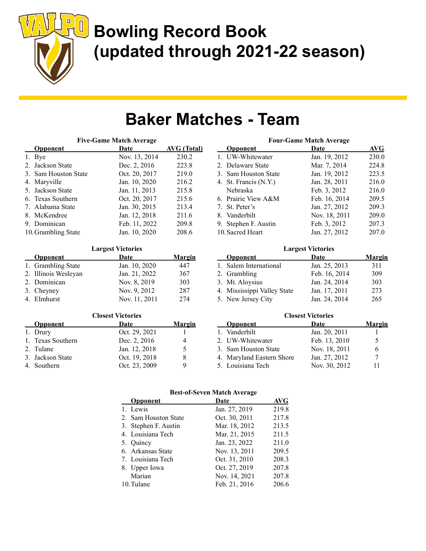

# Bowling Record Book (updated through 2021-22 season)

### Baker Matches - Team

| <b>Five-Game Match Average</b> |               |             |  |
|--------------------------------|---------------|-------------|--|
| <b>Opponent</b>                | Date          | AVG (Total) |  |
| 1. Bye                         | Nov. 13, 2014 | 230.2       |  |
| 2. Jackson State               | Dec. 2, 2016  | 223.8       |  |
| 3. Sam Houston State           | Oct. 20, 2017 | 219.0       |  |
| 4. Maryville                   | Jan. 10, 2020 | 216.2       |  |
| 5. Jackson State               | Jan. 11, 2013 | 215.8       |  |
| 6. Texas Southern              | Oct. 20, 2017 | 215.6       |  |
| 7. Alabama State               | Jan. 30, 2015 | 213.4       |  |
| 8. McKendree                   | Jan. 12, 2018 | 211.6       |  |
| 9. Dominican                   | Feb. 11, 2022 | 209.8       |  |
| 10. Grambling State            | Jan. 10, 2020 | 208.6       |  |
|                                |               |             |  |

#### Largest Victories

| <b>Opponent</b>      | Date          | <u>Margin</u> |
|----------------------|---------------|---------------|
| 1. Grambling State   | Jan. 10, 2020 | 447           |
| 2. Illinois Wesleyan | Jan. 21, 2022 | 367           |
| 2. Dominican         | Nov. 8, 2019  | 303           |
| 3. Cheyney           | Nov. 9, 2012  | 287           |
| 4. Elmhurst          | Nov. 11, 2011 | 2.74          |

#### Closest Victories

| <b>Opponent</b>   | Date          | <b>Margin</b> |
|-------------------|---------------|---------------|
| 1. Drury          | Oct. 29, 2021 |               |
| 1. Texas Southern | Dec. 2, 2016  |               |
| 2. Tulane         | Jan. 12, 2018 |               |
| 3. Jackson State  | Oct. 19, 2018 |               |
| 4. Southern       | Oct. 23, 2009 |               |

#### Four-Game Match Average Opponent Date AVG 1. UW-Whitewater Jan. 19, 2012 230.0 2. Delaware State Mar. 7, 2014 224.8 3. Sam Houston State Jan. 19, 2012 223.5 4. St. Francis (N.Y.) Jan. 28, 2011 216.0 Nebraska Feb. 3, 2012 216.0 6. Prairie View A&M Feb. 16, 2014 209.5 7. St. Peter's Jan. 27, 2012 209.3 8. Vanderbilt Nov. 18, 2011 209.0 9. Stephen F. Austin Feb. 3, 2012 207.3 10. Sacred Heart Jan. 27, 2012 207.0

#### Largest Victories

| <b>Opponent</b>             | Date          | <u>Margin</u> |
|-----------------------------|---------------|---------------|
| 1. Salem International      | Jan. 25, 2013 | 311           |
| 2. Grambling                | Feb. 16, 2014 | 309           |
| 3. Mt. Aloysius             | Jan. 24, 2014 | 303           |
| 4. Mississippi Valley State | Jan. 17, 2011 | 273           |
| 5. New Jersey City          | Jan. 24, 2014 | 265           |

#### Closest Victories Opponent Date Margin 1. Vanderbilt Jan. 20, 2011 1 2. UW-Whitewater Feb. 13, 2010 5 3. Sam Houston State Nov. 18, 2011 6 4. Maryland Eastern Shore Jan. 27, 2012 7 5. Louisiana Tech Nov. 30, 2012 11

#### Best-of-Seven Match Average

| Opponent             | Date          | AVG   |
|----------------------|---------------|-------|
| 1. Lewis             | Jan. 27, 2019 | 219.8 |
| 2. Sam Houston State | Oct. 30, 2011 | 217.8 |
| 3. Stephen F. Austin | Mar. 18, 2012 | 213.5 |
| 4. Louisiana Tech    | Mar. 21, 2015 | 211.5 |
| 5. Quincy            | Jan. 23, 2022 | 211.0 |
| 6. Arkansas State    | Nov. 13, 2011 | 209.5 |
| 7. Louisiana Tech    | Oct. 31, 2010 | 208.3 |
| 8. Upper Iowa        | Oct. 27, 2019 | 207.8 |
| Marian               | Nov. 14, 2021 | 207.8 |
| 10. Tulane           | Feb. 21, 2016 | 206.6 |